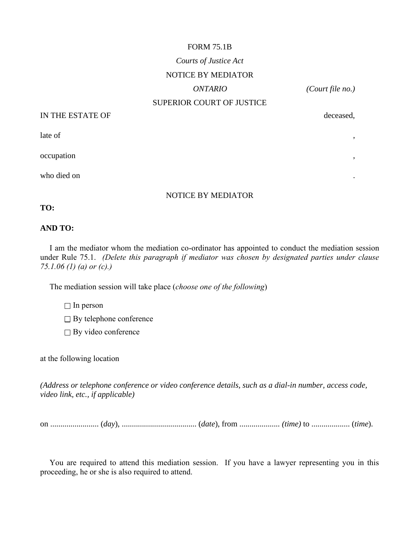# FORM 75.1B *Courts of Justice Act* NOTICE BY MEDIATOR *ONTARIO (Court file no.)* SUPERIOR COURT OF JUSTICE

# IN THE ESTATE OF deceased,

late of ,

occupation ,

who died on  $\cdot$ 

#### NOTICE BY MEDIATOR

**TO:**

### **AND TO:**

I am the mediator whom the mediation co-ordinator has appointed to conduct the mediation session under Rule 75.1. *(Delete this paragraph if mediator was chosen by designated parties under clause 75.1.06 (1) (a) or (c).)* 

The mediation session will take place (*choose one of the following*)

 $\Box$  In person

 $\square$  By telephone conference

 $\Box$  By video conference

at the following location

*(Address or telephone conference or video conference details, such as a dial-in number, access code, video link, etc., if applicable)*

on ........................ (*day*), ..................................... (*date*), from .................... *(time)* to ................... (*time*).

You are required to attend this mediation session. If you have a lawyer representing you in this proceeding, he or she is also required to attend.